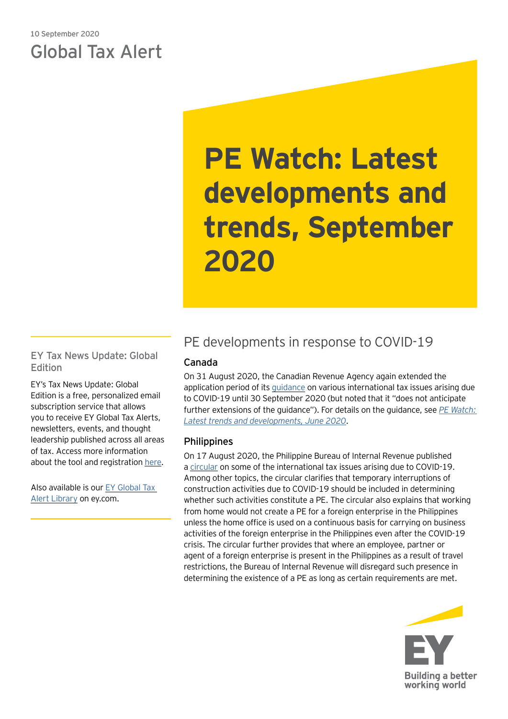## 10 September 2020 Global Tax Alert

# **PE Watch: Latest developments and trends, September 2020**

EY Tax News Update: Global Edition

EY's Tax News Update: Global Edition is a free, personalized email subscription service that allows you to receive EY Global Tax Alerts, newsletters, events, and thought leadership published across all areas of tax. Access more information about the tool and registration [here.](https://www.ey.com/gl/en/services/tax/sign-up-for-ey-tax-news-update-global-edition)

Also available is our [EY Global Tax](https://www.ey.com/gl/en/services/tax/international-tax/tax-alert-library)  [Alert Library](https://www.ey.com/gl/en/services/tax/international-tax/tax-alert-library) on ey.com.

# PE developments in response to COVID-19

## Canada

On 31 August 2020, the Canadian Revenue Agency again extended the application period of its [guidance](https://www.canada.ca/en/revenue-agency/campaigns/covid-19-update/guidance-international-income-tax-issues.html) on various international tax issues arising due to COVID-19 until 30 September 2020 (but noted that it "does not anticipate further extensions of the guidance"). For details on the guidance, see *[PE Watch:](https://www.ey.com/en_gl/tax-alerts/pe-watch--latest-developments-and-trends--june-2020)  [Latest trends and developments, June 2020](https://www.ey.com/en_gl/tax-alerts/pe-watch--latest-developments-and-trends--june-2020)*.

## Philippines

On 17 August 2020, the Philippine Bureau of Internal Revenue published a [circular](https://www.bir.gov.ph/images/bir_files/internal_communications_1/Advisory/RMC%20No.%2083-2020.pdf) on some of the international tax issues arising due to COVID-19. Among other topics, the circular clarifies that temporary interruptions of construction activities due to COVID-19 should be included in determining whether such activities constitute a PE. The circular also explains that working from home would not create a PE for a foreign enterprise in the Philippines unless the home office is used on a continuous basis for carrying on business activities of the foreign enterprise in the Philippines even after the COVID-19 crisis. The circular further provides that where an employee, partner or agent of a foreign enterprise is present in the Philippines as a result of travel restrictions, the Bureau of Internal Revenue will disregard such presence in determining the existence of a PE as long as certain requirements are met.

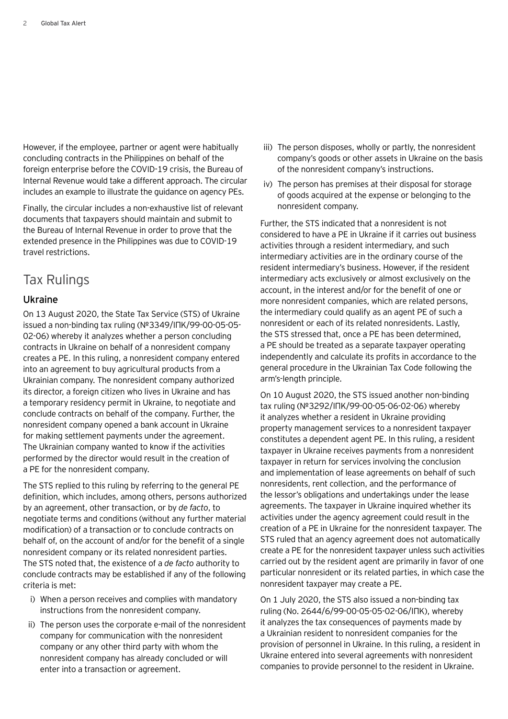However, if the employee, partner or agent were habitually concluding contracts in the Philippines on behalf of the foreign enterprise before the COVID-19 crisis, the Bureau of Internal Revenue would take a different approach. The circular includes an example to illustrate the guidance on agency PEs.

Finally, the circular includes a non-exhaustive list of relevant documents that taxpayers should maintain and submit to the Bureau of Internal Revenue in order to prove that the extended presence in the Philippines was due to COVID-19 travel restrictions.

## Tax Rulings

## Ukraine

On 13 August 2020, the State Tax Service (STS) of Ukraine issued a non-binding tax ruling (№3349/ІПК/99-00-05-05- 02-06) whereby it analyzes whether a person concluding contracts in Ukraine on behalf of a nonresident company creates a PE. In this ruling, a nonresident company entered into an agreement to buy agricultural products from a Ukrainian company. The nonresident company authorized its director, a foreign citizen who lives in Ukraine and has a temporary residency permit in Ukraine, to negotiate and conclude contracts on behalf of the company. Further, the nonresident company opened a bank account in Ukraine for making settlement payments under the agreement. The Ukrainian company wanted to know if the activities performed by the director would result in the creation of a PE for the nonresident company.

The STS replied to this ruling by referring to the general PE definition, which includes, among others, persons authorized by an agreement, other transaction, or by *de facto*, to negotiate terms and conditions (without any further material modification) of a transaction or to conclude contracts on behalf of, on the account of and/or for the benefit of a single nonresident company or its related nonresident parties. The STS noted that, the existence of a *de facto* authority to conclude contracts may be established if any of the following criteria is met:

- i) When a person receives and complies with mandatory instructions from the nonresident company.
- ii) The person uses the corporate e-mail of the nonresident company for communication with the nonresident company or any other third party with whom the nonresident company has already concluded or will enter into a transaction or agreement.
- iii) The person disposes, wholly or partly, the nonresident company's goods or other assets in Ukraine on the basis of the nonresident company's instructions.
- iv) The person has premises at their disposal for storage of goods acquired at the expense or belonging to the nonresident company.

Further, the STS indicated that a nonresident is not considered to have a PE in Ukraine if it carries out business activities through a resident intermediary, and such intermediary activities are in the ordinary course of the resident intermediary's business. However, if the resident intermediary acts exclusively or almost exclusively on the account, in the interest and/or for the benefit of one or more nonresident companies, which are related persons, the intermediary could qualify as an agent PE of such a nonresident or each of its related nonresidents. Lastly, the STS stressed that, once a PE has been determined, a PE should be treated as a separate taxpayer operating independently and calculate its profits in accordance to the general procedure in the Ukrainian Tax Code following the arm's-length principle.

On 10 August 2020, the STS issued another non-binding tax ruling (№3292/ІПК/99-00-05-06-02-06) whereby it analyzes whether a resident in Ukraine providing property management services to a nonresident taxpayer constitutes a dependent agent PE. In this ruling, a resident taxpayer in Ukraine receives payments from a nonresident taxpayer in return for services involving the conclusion and implementation of lease agreements on behalf of such nonresidents, rent collection, and the performance of the lessor's obligations and undertakings under the lease agreements. The taxpayer in Ukraine inquired whether its activities under the agency agreement could result in the creation of a PE in Ukraine for the nonresident taxpayer. The STS ruled that an agency agreement does not automatically create a PE for the nonresident taxpayer unless such activities carried out by the resident agent are primarily in favor of one particular nonresident or its related parties, in which case the nonresident taxpayer may create a PE.

On 1 July 2020, the STS also issued a non-binding tax ruling (No. 2644/6/99-00-05-05-02-06/ІПК), whereby it analyzes the tax consequences of payments made by a Ukrainian resident to nonresident companies for the provision of personnel in Ukraine. In this ruling, a resident in Ukraine entered into several agreements with nonresident companies to provide personnel to the resident in Ukraine.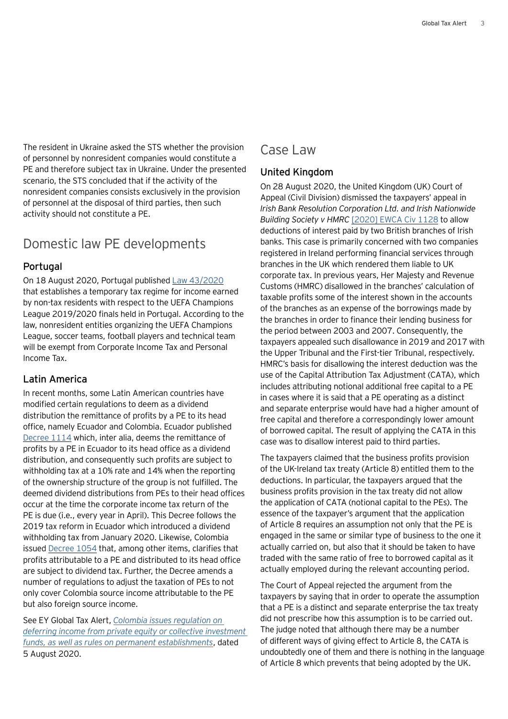The resident in Ukraine asked the STS whether the provision of personnel by nonresident companies would constitute a PE and therefore subject tax in Ukraine. Under the presented scenario, the STS concluded that if the activity of the nonresident companies consists exclusively in the provision of personnel at the disposal of third parties, then such activity should not constitute a PE.

## Domestic law PE developments

## Portugal

On 18 August 2020, Portugal published [Law 43/2020](https://dre.pt/application/conteudo/140431169) that establishes a temporary tax regime for income earned by non-tax residents with respect to the UEFA Champions League 2019/2020 finals held in Portugal. According to the law, nonresident entities organizing the UEFA Champions League, soccer teams, football players and technical team will be exempt from Corporate Income Tax and Personal Income Tax.

## Latin America

In recent months, some Latin American countries have modified certain regulations to deem as a dividend distribution the remittance of profits by a PE to its head office, namely Ecuador and Colombia. Ecuador published [Decree](https://www.fielweb.com/App_Themes/InformacionInteres/Decreto_Ejecutivo_No._1114_20200628144539.pdf) 1114 which, inter alia, deems the remittance of profits by a PE in Ecuador to its head office as a dividend distribution, and consequently such profits are subject to withholding tax at a 10% rate and 14% when the reporting of the ownership structure of the group is not fulfilled. The deemed dividend distributions from PEs to their head offices occur at the time the corporate income tax return of the PE is due (i.e., every year in April). This Decree follows the 2019 tax reform in Ecuador which introduced a dividend withholding tax from January 2020. Likewise, Colombia issued [Decree](https://www.funcionpublica.gov.co/eva/gestornormativo/norma.php?i=135490) 1054 that, among other items, clarifies that profits attributable to a PE and distributed to its head office are subject to dividend tax. Further, the Decree amends a number of regulations to adjust the taxation of PEs to not only cover Colombia source income attributable to the PE but also foreign source income.

See EY Global Tax Alert, *[Colombia issues regulation on](https://www.ey.com/en_gl/tax-alerts/colombia-issues-regulation-on-deferring-income-from-private-equity-or-collective-investment-funds-as-well-as-rules-on-permanent-establishments)  [deferring income from private equity or collective investment](https://www.ey.com/en_gl/tax-alerts/colombia-issues-regulation-on-deferring-income-from-private-equity-or-collective-investment-funds-as-well-as-rules-on-permanent-establishments)  [funds, as well as rules on permanent establishments](https://www.ey.com/en_gl/tax-alerts/colombia-issues-regulation-on-deferring-income-from-private-equity-or-collective-investment-funds-as-well-as-rules-on-permanent-establishments)*, dated 5 August 2020.

## Case Law

## United Kingdom

On 28 August 2020, the United Kingdom (UK) Court of Appeal (Civil Division) dismissed the taxpayers' appeal in *Irish Bank Resolution Corporation Ltd. and Irish Nationwide Building Society v HMRC* [\[2020\] EWCA Civ 1128](http://www.bailii.org/ew/cases/EWCA/Civ/2020/1128.html) to allow deductions of interest paid by two British branches of Irish banks. This case is primarily concerned with two companies registered in Ireland performing financial services through branches in the UK which rendered them liable to UK corporate tax. In previous years, Her Majesty and Revenue Customs (HMRC) disallowed in the branches' calculation of taxable profits some of the interest shown in the accounts of the branches as an expense of the borrowings made by the branches in order to finance their lending business for the period between 2003 and 2007. Consequently, the taxpayers appealed such disallowance in 2019 and 2017 with the Upper Tribunal and the First-tier Tribunal, respectively. HMRC's basis for disallowing the interest deduction was the use of the Capital Attribution Tax Adjustment (CATA), which includes attributing notional additional free capital to a PE in cases where it is said that a PE operating as a distinct and separate enterprise would have had a higher amount of free capital and therefore a correspondingly lower amount of borrowed capital. The result of applying the CATA in this case was to disallow interest paid to third parties.

The taxpayers claimed that the business profits provision of the UK-Ireland tax treaty (Article 8) entitled them to the deductions. In particular, the taxpayers argued that the business profits provision in the tax treaty did not allow the application of CATA (notional capital to the PEs). The essence of the taxpayer's argument that the application of Article 8 requires an assumption not only that the PE is engaged in the same or similar type of business to the one it actually carried on, but also that it should be taken to have traded with the same ratio of free to borrowed capital as it actually employed during the relevant accounting period.

The Court of Appeal rejected the argument from the taxpayers by saying that in order to operate the assumption that a PE is a distinct and separate enterprise the tax treaty did not prescribe how this assumption is to be carried out. The judge noted that although there may be a number of different ways of giving effect to Article 8, the CATA is undoubtedly one of them and there is nothing in the language of Article 8 which prevents that being adopted by the UK.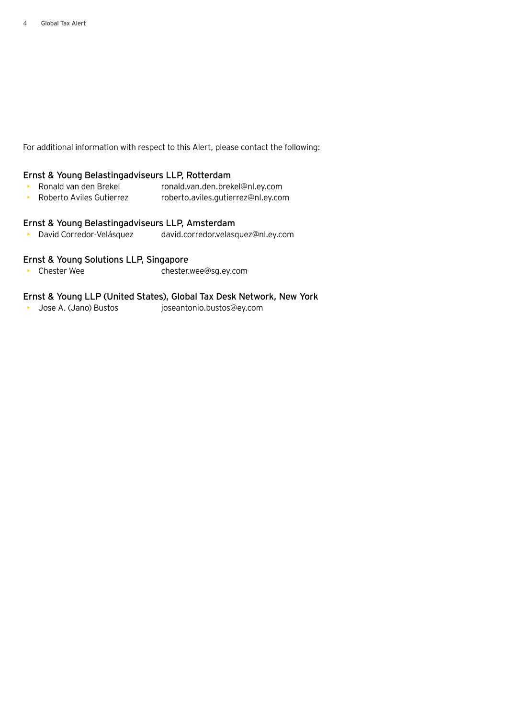For additional information with respect to this Alert, please contact the following:

## Ernst & Young Belastingadviseurs LLP, Rotterdam

- Ronald van den Brekel ronald.van.den.brekel@nl.ey.com
- Roberto Aviles Gutierrez roberto.aviles.gutierrez@nl.ey.com

## Ernst & Young Belastingadviseurs LLP, Amsterdam

• David Corredor-Velásquez david.corredor.velasquez@nl.ey.com

## Ernst & Young Solutions LLP, Singapore

• Chester Wee chester.wee@sg.ey.com

## Ernst & Young LLP (United States), Global Tax Desk Network, New York

• Jose A. (Jano) Bustos joseantonio.bustos@ey.com